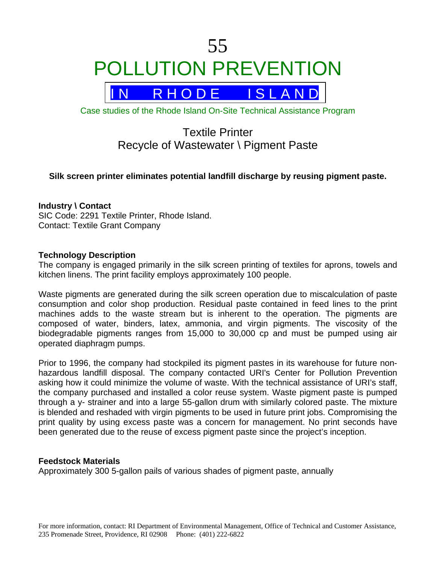

Case studies of the Rhode Island On-Site Technical Assistance Program

# Textile Printer Recycle of Wastewater \ Pigment Paste

## **Silk screen printer eliminates potential landfill discharge by reusing pigment paste.**

## **Industry \ Contact**

SIC Code: 2291 Textile Printer, Rhode Island. Contact: Textile Grant Company

## **Technology Description**

The company is engaged primarily in the silk screen printing of textiles for aprons, towels and kitchen linens. The print facility employs approximately 100 people.

Waste pigments are generated during the silk screen operation due to miscalculation of paste consumption and color shop production. Residual paste contained in feed lines to the print machines adds to the waste stream but is inherent to the operation. The pigments are composed of water, binders, latex, ammonia, and virgin pigments. The viscosity of the biodegradable pigments ranges from 15,000 to 30,000 cp and must be pumped using air operated diaphragm pumps.

Prior to 1996, the company had stockpiled its pigment pastes in its warehouse for future nonhazardous landfill disposal. The company contacted URI's Center for Pollution Prevention asking how it could minimize the volume of waste. With the technical assistance of URI's staff, the company purchased and installed a color reuse system. Waste pigment paste is pumped through a y- strainer and into a large 55-gallon drum with similarly colored paste. The mixture is blended and reshaded with virgin pigments to be used in future print jobs. Compromising the print quality by using excess paste was a concern for management. No print seconds have been generated due to the reuse of excess pigment paste since the project's inception.

## **Feedstock Materials**

Approximately 300 5-gallon pails of various shades of pigment paste, annually